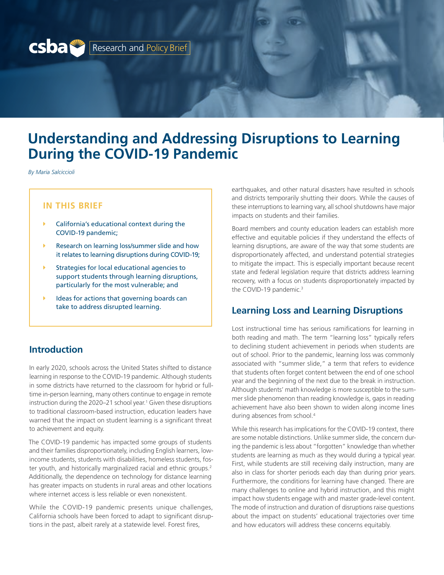

# **Understanding and Addressing Disruptions to Learning During the COVID-19 Pandemic**

*By Maria Salciccioli*

### **IN THIS BRIEF**

- California's educational context during the COVID-19 pandemic;
- $\blacktriangleright$  Research on learning loss/summer slide and how it relates to learning disruptions during COVID-19;
- Strategies for local educational agencies to support students through learning disruptions, particularly for the most vulnerable; and
- Ideas for actions that governing boards can take to address disrupted learning.

## **Introduction**

In early 2020, schools across the United States shifted to distance learning in response to the COVID-19 pandemic. Although students in some districts have returned to the classroom for hybrid or fulltime in-person learning, many others continue to engage in remote instruction during the 2020–21 school year.<sup>1</sup> Given these disruptions to traditional classroom-based instruction, education leaders have warned that the impact on student learning is a significant threat to achievement and equity.

The COVID-19 pandemic has impacted some groups of students and their families disproportionately, including English learners, lowincome students, students with disabilities, homeless students, foster youth, and historically marginalized racial and ethnic groups.<sup>2</sup> Additionally, the dependence on technology for distance learning has greater impacts on students in rural areas and other locations where internet access is less reliable or even nonexistent.

While the COVID-19 pandemic presents unique challenges, California schools have been forced to adapt to significant disruptions in the past, albeit rarely at a statewide level. Forest fires,

earthquakes, and other natural disasters have resulted in schools and districts temporarily shutting their doors. While the causes of these interruptions to learning vary, all school shutdowns have major impacts on students and their families.

Board members and county education leaders can establish more effective and equitable policies if they understand the effects of learning disruptions, are aware of the way that some students are disproportionately affected, and understand potential strategies to mitigate the impact. This is especially important because recent state and federal legislation require that districts address learning recovery, with a focus on students disproportionately impacted by the COVID-19 pandemic.<sup>3</sup>

#### **Learning Loss and Learning Disruptions**

Lost instructional time has serious ramifications for learning in both reading and math. The term "learning loss" typically refers to declining student achievement in periods when students are out of school. Prior to the pandemic, learning loss was commonly associated with "summer slide," a term that refers to evidence that students often forget content between the end of one school year and the beginning of the next due to the break in instruction. Although students' math knowledge is more susceptible to the summer slide phenomenon than reading knowledge is, gaps in reading achievement have also been shown to widen along income lines during absences from school.<sup>4</sup>

While this research has implications for the COVID-19 context, there are some notable distinctions. Unlike summer slide, the concern during the pandemic is less about "forgotten" knowledge than whether students are learning as much as they would during a typical year. First, while students are still receiving daily instruction, many are also in class for shorter periods each day than during prior years. Furthermore, the conditions for learning have changed. There are many challenges to online and hybrid instruction, and this might impact how students engage with and master grade-level content. The mode of instruction and duration of disruptions raise questions about the impact on students' educational trajectories over time and how educators will address these concerns equitably.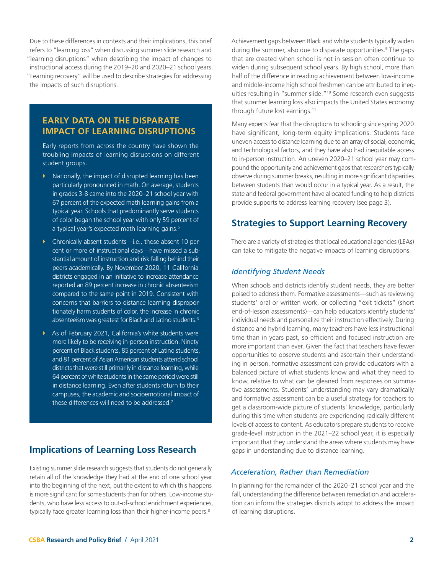Due to these differences in contexts and their implications, this brief refers to "learning loss" when discussing summer slide research and "learning disruptions" when describing the impact of changes to instructional access during the 2019–20 and 2020–21 school years. "Learning recovery" will be used to describe strategies for addressing the impacts of such disruptions.

## **EARLY DATA ON THE DISPARATE IMPACT OF LEARNING DISRUPTIONS**

Early reports from across the country have shown the troubling impacts of learning disruptions on different student groups.

- $\blacktriangleright$  Nationally, the impact of disrupted learning has been particularly pronounced in math. On average, students in grades 3-8 came into the 2020–21 school year with 67 percent of the expected math learning gains from a typical year. Schools that predominantly serve students of color began the school year with only 59 percent of a typical year's expected math learning gains.<sup>5</sup>
- ▶ Chronically absent students—i.e., those absent 10 percent or more of instructional days—have missed a substantial amount of instruction and risk falling behind their peers academically. By November 2020, 11 California districts engaged in an initiative to increase attendance reported an 89 percent increase in chronic absenteeism compared to the same point in 2019. Consistent with concerns that barriers to distance learning disproportionately harm students of color, the increase in chronic absenteeism was greatest for Black and Latino students.<sup>6</sup>
- $\blacktriangleright$  As of February 2021, California's white students were more likely to be receiving in-person instruction. Ninety percent of Black students, 85 percent of Latino students, and 81 percent of Asian American students attend school districts that were still primarily in distance learning, while 64 percent of white students in the same period were still in distance learning. Even after students return to their campuses, the academic and socioemotional impact of these differences will need to be addressed.7

## **Implications of Learning Loss Research**

Existing summer slide research suggests that students do not generally retain all of the knowledge they had at the end of one school year into the beginning of the next, but the extent to which this happens is more significant for some students than for others. Low-income students, who have less access to out-of-school enrichment experiences, typically face greater learning loss than their higher-income peers.<sup>8</sup>

Achievement gaps between Black and white students typically widen during the summer, also due to disparate opportunities.<sup>9</sup> The gaps that are created when school is not in session often continue to widen during subsequent school years. By high school, more than half of the difference in reading achievement between low-income and middle-income high school freshmen can be attributed to inequities resulting in "summer slide."10 Some research even suggests that summer learning loss also impacts the United States economy through future lost earnings.<sup>11</sup>

Many experts fear that the disruptions to schooling since spring 2020 have significant, long-term equity implications. Students face uneven access to distance learning due to an array of social, economic, and technological factors, and they have also had inequitable access to in-person instruction. An uneven 2020–21 school year may compound the opportunity and achievement gaps that researchers typically observe during summer breaks, resulting in more significant disparities between students than would occur in a typical year. As a result, the state and federal government have allocated funding to help districts provide supports to address learning recovery (see [page 3\)](#page-2-0).

## **Strategies to Support Learning Recovery**

There are a variety of strategies that local educational agencies (LEAs) can take to mitigate the negative impacts of learning disruptions.

#### *Identifying Student Needs*

When schools and districts identify student needs, they are better poised to address them. Formative assessments—such as reviewing students' oral or written work, or collecting "exit tickets" (short end-of-lesson assessments)—can help educators identify students' individual needs and personalize their instruction effectively. During distance and hybrid learning, many teachers have less instructional time than in years past, so efficient and focused instruction are more important than ever. Given the fact that teachers have fewer opportunities to observe students and ascertain their understanding in person, formative assessment can provide educators with a balanced picture of what students know and what they need to know, relative to what can be gleaned from responses on summative assessments. Students' understanding may vary dramatically and formative assessment can be a useful strategy for teachers to get a classroom-wide picture of students' knowledge, particularly during this time when students are experiencing radically different levels of access to content. As educators prepare students to receive grade-level instruction in the 2021–22 school year, it is especially important that they understand the areas where students may have gaps in understanding due to distance learning.

#### *Acceleration, Rather than Remediation*

In planning for the remainder of the 2020–21 school year and the fall, understanding the difference between remediation and acceleration can inform the strategies districts adopt to address the impact of learning disruptions.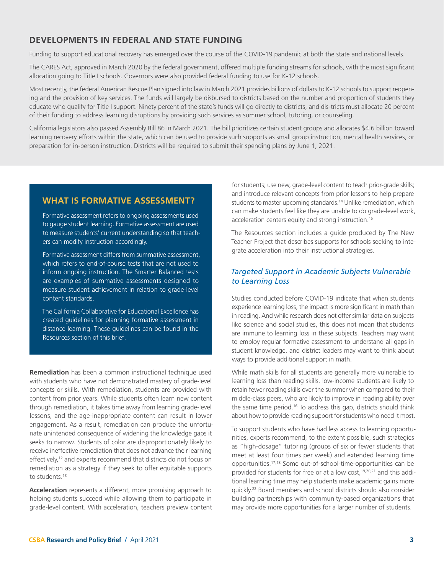## <span id="page-2-0"></span>**DEVELOPMENTS IN FEDERAL AND STATE FUNDING**

Funding to support educational recovery has emerged over the course of the COVID-19 pandemic at both the state and national levels.

The CARES Act, approved in March 2020 by the federal government, offered multiple funding streams for schools, with the most significant allocation going to Title I schools. Governors were also provided federal funding to use for K-12 schools.

Most recently, the federal American Rescue Plan signed into law in March 2021 provides billions of dollars to K-12 schools to support reopening and the provision of key services. The funds will largely be disbursed to districts based on the number and proportion of students they educate who qualify for Title I support. Ninety percent of the state's funds will go directly to districts, and dis-tricts must allocate 20 percent of their funding to address learning disruptions by providing such services as summer school, tutoring, or counseling.

California legislators also passed Assembly Bill 86 in March 2021. The bill prioritizes certain student groups and allocates \$4.6 billion toward learning recovery efforts within the state, which can be used to provide such supports as small group instruction, mental health services, or preparation for in-person instruction. Districts will be required to submit their spending plans by June 1, 2021.

## **WHAT IS FORMATIVE ASSESSMENT?**

Formative assessment refers to ongoing assessments used to gauge student learning. Formative assessment are used to measure students' current understanding so that teachers can modify instruction accordingly.

Formative assessment differs from summative assessment, which refers to end-of-course tests that are not used to inform ongoing instruction. The Smarter Balanced tests are examples of summative assessments designed to measure student achievement in relation to grade-level content standards.

The California Collaborative for Educational Excellence has created guidelines for planning formative assessment in distance learning. These guidelines can be found in the Resources section of this brief.

**Remediation** has been a common instructional technique used with students who have not demonstrated mastery of grade-level concepts or skills. With remediation, students are provided with content from prior years. While students often learn new content through remediation, it takes time away from learning grade-level lessons, and the age-inappropriate content can result in lower engagement. As a result, remediation can produce the unfortunate unintended consequence of widening the knowledge gaps it seeks to narrow. Students of color are disproportionately likely to receive ineffective remediation that does not advance their learning effectively,<sup>12</sup> and experts recommend that districts do not focus on remediation as a strategy if they seek to offer equitable supports to students.<sup>13</sup>

**Acceleration** represents a different, more promising approach to helping students succeed while allowing them to participate in grade-level content. With acceleration, teachers preview content

for students; use new, grade-level content to teach prior-grade skills; and introduce relevant concepts from prior lessons to help prepare students to master upcoming standards.<sup>14</sup> Unlike remediation, which can make students feel like they are unable to do grade-level work, acceleration centers equity and strong instruction.<sup>15</sup>

The Resources section includes a guide produced by The New Teacher Project that describes supports for schools seeking to integrate acceleration into their instructional strategies.

#### *Targeted Support in Academic Subjects Vulnerable to Learning Loss*

Studies conducted before COVID-19 indicate that when students experience learning loss, the impact is more significant in math than in reading. And while research does not offer similar data on subjects like science and social studies, this does not mean that students are immune to learning loss in these subjects. Teachers may want to employ regular formative assessment to understand all gaps in student knowledge, and district leaders may want to think about ways to provide additional support in math.

While math skills for all students are generally more vulnerable to learning loss than reading skills, low-income students are likely to retain fewer reading skills over the summer when compared to their middle-class peers, who are likely to improve in reading ability over the same time period.<sup>16</sup> To address this gap, districts should think about how to provide reading support for students who need it most.

To support students who have had less access to learning opportunities, experts recommend, to the extent possible, such strategies as "high-dosage" tutoring (groups of six or fewer students that meet at least four times per week) and extended learning time opportunities.17,18 Some out-of-school-time-opportunities can be provided for students for free or at a low cost,<sup>19,20,21</sup> and this additional learning time may help students make academic gains more quickly.22 Board members and school districts should also consider building partnerships with community-based organizations that may provide more opportunities for a larger number of students.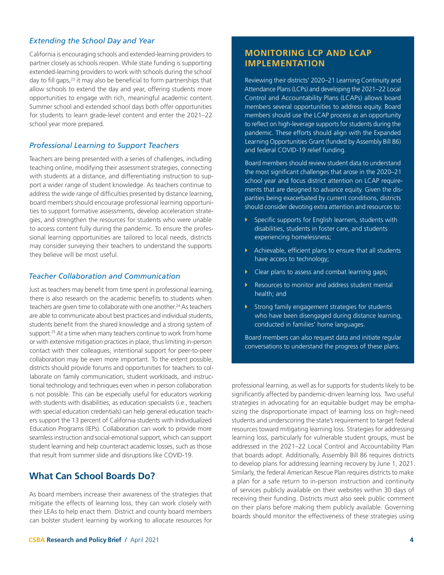#### *Extending the School Day and Year*

California is encouraging schools and extended-learning providers to partner closely as schools reopen. While state funding is supporting extended-learning providers to work with schools during the school day to fill gaps,<sup>23</sup> it may also be beneficial to form partnerships that allow schools to extend the day and year, offering students more opportunities to engage with rich, meaningful academic content. Summer school and extended school days both offer opportunities for students to learn grade-level content and enter the 2021–22 school year more prepared.

#### *Professional Learning to Support Teachers*

Teachers are being presented with a series of challenges, including teaching online, modifying their assessment strategies, connecting with students at a distance, and differentiating instruction to support a wider range of student knowledge. As teachers continue to address the wide range of difficulties presented by distance learning, board members should encourage professional learning opportunities to support formative assessments, develop acceleration strategies, and strengthen the resources for students who were unable to access content fully during the pandemic. To ensure the professional learning opportunities are tailored to local needs, districts may consider surveying their teachers to understand the supports they believe will be most useful.

#### *Teacher Collaboration and Communication*

Just as teachers may benefit from time spent in professional learning, there is also research on the academic benefits to students when teachers are given time to collaborate with one another.<sup>24</sup> As teachers are able to communicate about best practices and individual students, students benefit from the shared knowledge and a strong system of support.<sup>25</sup> At a time when many teachers continue to work from home or with extensive mitigation practices in place, thus limiting in-person contact with their colleagues, intentional support for peer-to-peer collaboration may be even more important. To the extent possible, districts should provide forums and opportunities for teachers to collaborate on family communication, student workloads, and instructional technology and techniques even when in person collaboration is not possible. This can be especially useful for educators working with students with disabilities, as education specialists (i.e., teachers with special education credentials) can help general education teachers support the 13 percent of California students with Individualized Education Programs (IEPs). Collaboration can work to provide more seamless instruction and social-emotional support, which can support student learning and help counteract academic losses, such as those that result from summer slide and disruptions like COVID-19.

## **What Can School Boards Do?**

As board members increase their awareness of the strategies that mitigate the effects of learning loss, they can work closely with their LEAs to help enact them. District and county board members can bolster student learning by working to allocate resources for

## **MONITORING LCP AND LCAP IMPLEMENTATION**

Reviewing their districts' 2020–21 Learning Continuity and Attendance Plans (LCPs) and developing the 2021–22 Local Control and Accountability Plans (LCAPs) allows board members several opportunities to address equity. Board members should use the LCAP process as an opportunity to reflect on high-leverage supports for students during the pandemic. These efforts should align with the Expanded Learning Opportunities Grant (funded by Assembly Bill 86) and federal COVID-19 relief funding.

Board members should review student data to understand the most significant challenges that arose in the 2020–21 school year and focus district attention on LCAP requirements that are designed to advance equity. Given the disparities being exacerbated by current conditions, districts should consider devoting extra attention and resources to:

- $\blacktriangleright$  Specific supports for English learners, students with disabilities, students in foster care, and students experiencing homelessness;
- $\blacktriangleright$  Achievable, efficient plans to ensure that all students have access to technology;
- $\triangleright$  Clear plans to assess and combat learning gaps;
- Resources to monitor and address student mental health; and
- $\blacktriangleright$  Strong family engagement strategies for students who have been disengaged during distance learning, conducted in families' home languages.

Board members can also request data and initiate regular conversations to understand the progress of these plans.

professional learning, as well as for supports for students likely to be significantly affected by pandemic-driven learning loss. Two useful strategies in advocating for an equitable budget may be emphasizing the disproportionate impact of learning loss on high-need students and underscoring the state's requirement to target federal resources toward mitigating learning loss. Strategies for addressing learning loss, particularly for vulnerable student groups, must be addressed in the 2021–22 Local Control and Accountability Plan that boards adopt. Additionally, Assembly Bill 86 requires districts to develop plans for addressing learning recovery by June 1, 2021. Similarly, the federal American Rescue Plan requires districts to make a plan for a safe return to in-person instruction and continuity of services publicly available on their websites within 30 days of receiving their funding. Districts must also seek public comment on their plans before making them publicly available. Governing boards should monitor the effectiveness of these strategies using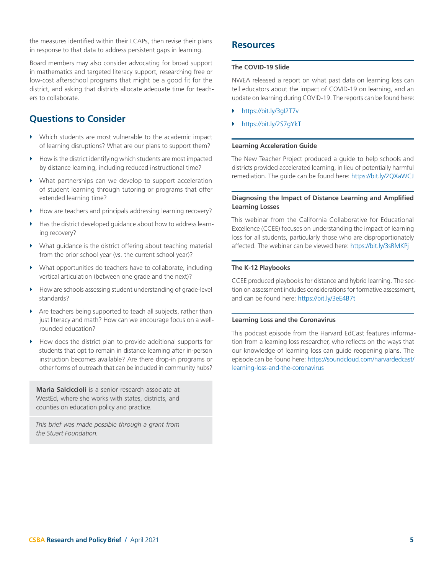the measures identified within their LCAPs, then revise their plans in response to that data to address persistent gaps in learning.

Board members may also consider advocating for broad support in mathematics and targeted literacy support, researching free or low-cost afterschool programs that might be a good fit for the district, and asking that districts allocate adequate time for teachers to collaborate.

## **Questions to Consider**

- $\triangleright$  Which students are most vulnerable to the academic impact of learning disruptions? What are our plans to support them?
- $\blacktriangleright$  How is the district identifying which students are most impacted by distance learning, including reduced instructional time?
- $\triangleright$  What partnerships can we develop to support acceleration of student learning through tutoring or programs that offer extended learning time?
- $\blacktriangleright$  How are teachers and principals addressing learning recovery?
- Has the district developed guidance about how to address learning recovery?
- $\blacktriangleright$  What guidance is the district offering about teaching material from the prior school year (vs. the current school year)?
- $\blacktriangleright$  What opportunities do teachers have to collaborate, including vertical articulation (between one grade and the next)?
- How are schools assessing student understanding of grade-level standards?
- $\blacktriangleright$  Are teachers being supported to teach all subjects, rather than just literacy and math? How can we encourage focus on a wellrounded education?
- $\blacktriangleright$  How does the district plan to provide additional supports for students that opt to remain in distance learning after in-person instruction becomes available? Are there drop-in programs or other forms of outreach that can be included in community hubs?

**Maria Salciccioli** is a senior research associate at WestEd, where she works with states, districts, and counties on education policy and practice.

*This brief was made possible through a grant from the Stuart Foundation.*

## **Resources**

#### **The COVID-19 Slide**

NWEA released a report on what past data on learning loss can tell educators about the impact of COVID-19 on learning, and an update on learning during COVID-19. The reports can be found here:

- ▶ https://bit.ly/3gI2T7v
- https://bit.ly/2S7gYkT

#### **Learning Acceleration Guide**

The New Teacher Project produced a guide to help schools and districts provided accelerated learning, in lieu of potentially harmful remediation. The guide can be found here: https://bit.ly/2QXaWCJ

#### **Diagnosing the Impact of Distance Learning and Amplified Learning Losses**

This webinar from the California Collaborative for Educational Excellence (CCEE) focuses on understanding the impact of learning loss for all students, particularly those who are disproportionately affected. The webinar can be viewed here: https://bit.ly/3sRMKPj

#### **The K-12 Playbooks**

CCEE produced playbooks for distance and hybrid learning. The section on assessment includes considerations for formative assessment, and can be found here: https://bit.ly/3eE4B7t

#### **Learning Loss and the Coronavirus**

This podcast episode from the Harvard EdCast features information from a learning loss researcher, who reflects on the ways that our knowledge of learning loss can guide reopening plans. The episode can be found here: [https://soundcloud.com/harvardedcast/](https://soundcloud.com/harvardedcast/learning-loss-and-the-coronavirus) [learning-loss-and-the-coronavirus](https://soundcloud.com/harvardedcast/learning-loss-and-the-coronavirus)